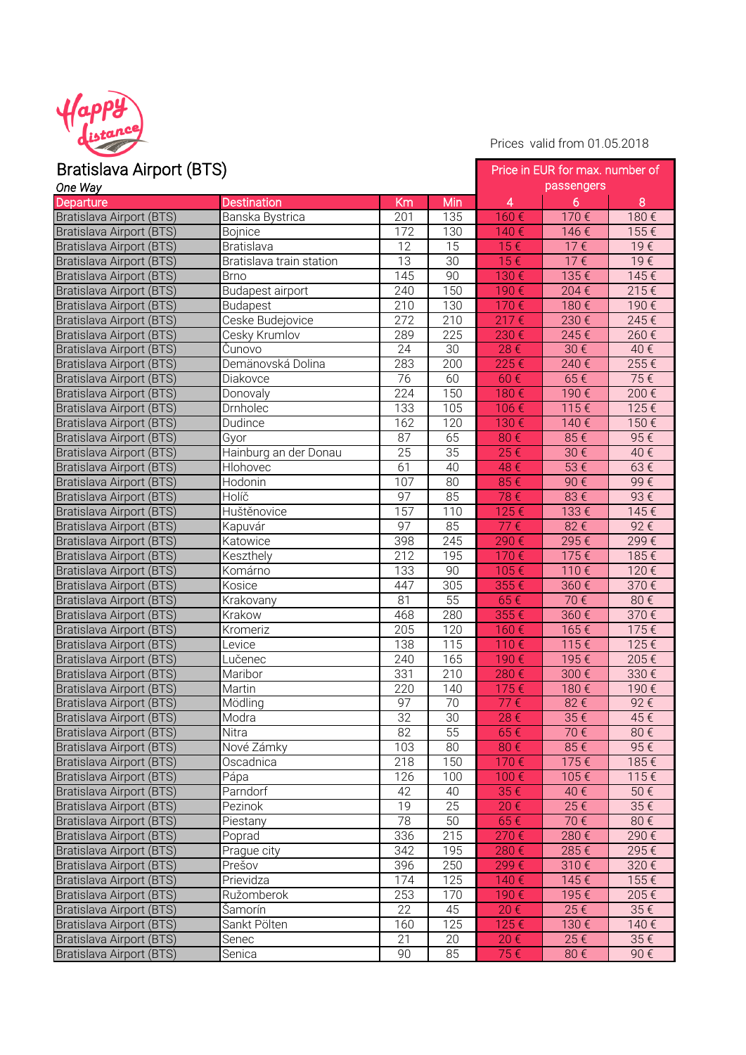

Prices valid from 01.05.2018

| Bratislava Airport (BTS)        |                          |                 | Price in EUR for max. number of |            |          |      |  |
|---------------------------------|--------------------------|-----------------|---------------------------------|------------|----------|------|--|
| One Way                         |                          |                 |                                 | passengers |          |      |  |
| Departure                       | <b>Destination</b>       | Km              | Min                             | 4          | 6        | 8    |  |
| Bratislava Airport (BTS)        | Banska Bystrica          | 201             | 135                             | 160€       | 170€     | 180€ |  |
| <b>Bratislava Airport (BTS)</b> | <b>Bojnice</b>           | 172             | 130                             | 140€       | 146€     | 155€ |  |
| Bratislava Airport (BTS)        | <b>Bratislava</b>        | 12              | $\overline{15}$                 | 15€        | 17€      | 19€  |  |
| Bratislava Airport (BTS)        | Bratislava train station | 13              | 30                              | 15€        | 17€      | 19€  |  |
| Bratislava Airport (BTS)        | <b>Brno</b>              | 145             | $\overline{90}$                 | 130€       | 135€     | 145€ |  |
| Bratislava Airport (BTS)        | Budapest airport         | 240             | $\overline{150}$                | 190€       | 204€     | 215€ |  |
| Bratislava Airport (BTS)        | <b>Budapest</b>          | 210             | 130                             | 170€       | 180€     | 190€ |  |
| Bratislava Airport (BTS)        | Ceske Budejovice         | 272             | 210                             | $217 \in$  | 230€     | 245€ |  |
| Bratislava Airport (BTS)        | Cesky Krumlov            | 289             | 225                             | 230€       | 245€     | 260€ |  |
| Bratislava Airport (BTS)        | Čunovo                   | 24              | 30                              | 28€        | 30€      | 40€  |  |
| Bratislava Airport (BTS)        | Demänovská Dolina        | 283             | 200                             | 225€       | 240€     | 255€ |  |
| Bratislava Airport (BTS)        | Diakovce                 | 76              | 60                              | 60€        | 65€      | 75€  |  |
| Bratislava Airport (BTS)        | Donovaly                 | 224             | 150                             | 180€       | 190€     | 200€ |  |
| Bratislava Airport (BTS)        | Drnholec                 | 133             | 105                             | 106€       | 115€     | 125€ |  |
| Bratislava Airport (BTS)        | Dudince                  | 162             | 120                             | 130€       | 140€     | 150€ |  |
| Bratislava Airport (BTS)        | Gyor                     | 87              | 65                              | 80€        | 85€      | 95€  |  |
| Bratislava Airport (BTS)        | Hainburg an der Donau    | 25              | 35                              | 25€        | $30 \in$ | 40€  |  |
| Bratislava Airport (BTS)        | Hlohovec                 | 61              | 40                              | 48€        | 53€      | 63€  |  |
| Bratislava Airport (BTS)        | Hodonin                  | 107             | $\overline{80}$                 | 85€        | 90€      | 99€  |  |
| <b>Bratislava Airport (BTS)</b> | Holíč                    | 97              | 85                              | 78€        | 83€      | 93€  |  |
| Bratislava Airport (BTS)        | Huštěnovice              | 157             | 110                             | 125€       | 133€     | 145€ |  |
| Bratislava Airport (BTS)        | Kapuvár                  | 97              | 85                              | 77€        | 82€      | 92€  |  |
| Bratislava Airport (BTS)        | Katowice                 | 398             | 245                             | 290€       | 295€     | 299€ |  |
| Bratislava Airport (BTS)        | Keszthely                | 212             | 195                             | 170€       | 175€     | 185€ |  |
| Bratislava Airport (BTS)        | Komárno                  | 133             | 90                              | 105€       | 110€     | 120€ |  |
| Bratislava Airport (BTS)        | Kosice                   | 447             | 305                             | 355€       | 360€     | 370€ |  |
| Bratislava Airport (BTS)        | Krakovany                | 81              | 55                              | 65€        | 70€      | 80€  |  |
| Bratislava Airport (BTS)        | Krakow                   | 468             | 280                             | 355€       | 360€     | 370€ |  |
| Bratislava Airport (BTS)        | Kromeriz                 | 205             | 120                             | 160€       | 165€     | 175€ |  |
| Bratislava Airport (BTS)        | Levice                   | 138             | 115                             | 110€       | 115€     | 125€ |  |
| Bratislava Airport (BTS)        | Lučenec                  | 240             | 165                             | 190€       | 195€     | 205€ |  |
| Bratislava Airport (BTS)        | Maribor                  | 331             | 210                             | 280€       | 300€     | 330€ |  |
| Bratislava Airport (BTS)        | Martin                   | 220             | 140                             | 175€       | 180€     | 190€ |  |
| Bratislava Airport (BTS)        | Mödling                  | 97              | 70                              | 77€        | 82€      | 92€  |  |
| Bratislava Airport (BTS)        | Modra                    | $\overline{32}$ | 30                              | 28€        | 35€      | 45€  |  |
| Bratislava Airport (BTS)        | Nitra                    | 82              | 55                              | 65€        | 70€      | 80€  |  |
| Bratislava Airport (BTS)        | Nové Zámky               | 103             | 80                              | 80€        | 85€      | 95€  |  |
| Bratislava Airport (BTS)        | Oscadnica                | 218             | 150                             | 170€       | 175€     | 185€ |  |
| Bratislava Airport (BTS)        | Pápa                     | 126             | 100                             | 100€       | 105€     | 115€ |  |
| Bratislava Airport (BTS)        | Parndorf                 | 42              | 40                              | 35€        | 40€      | 50€  |  |
| Bratislava Airport (BTS)        | Pezinok                  | 19              | 25                              | 20€        | 25€      | 35€  |  |
| Bratislava Airport (BTS)        | Piestany                 | 78              | 50                              | 65€        | 70€      | 80€  |  |
| Bratislava Airport (BTS)        | Poprad                   | 336             | 215                             | 270€       | 280€     | 290€ |  |
| Bratislava Airport (BTS)        | Prague city              | 342             | 195                             | 280€       | 285€     | 295€ |  |
| Bratislava Airport (BTS)        | Prešov                   | 396             | 250                             | 299€       | 310€     | 320€ |  |
| Bratislava Airport (BTS)        | Prievidza                | 174             | $\overline{1}25$                | 140€       | 145€     | 155€ |  |
| Bratislava Airport (BTS)        | Ružomberok               | 253             | 170                             | 190€       | 195€     | 205€ |  |
| Bratislava Airport (BTS)        | Šamorín                  | 22              | 45                              | 20€        | 25€      | 35€  |  |
| Bratislava Airport (BTS)        | Sankt Pölten             | 160             | 125                             | 125€       | 130€     | 140€ |  |
| Bratislava Airport (BTS)        | Senec                    | 21              | 20                              | 20€        | 25€      | 35€  |  |
| Bratislava Airport (BTS)        | Senica                   | 90              | 85                              | 75€        | 80€      | 90€  |  |